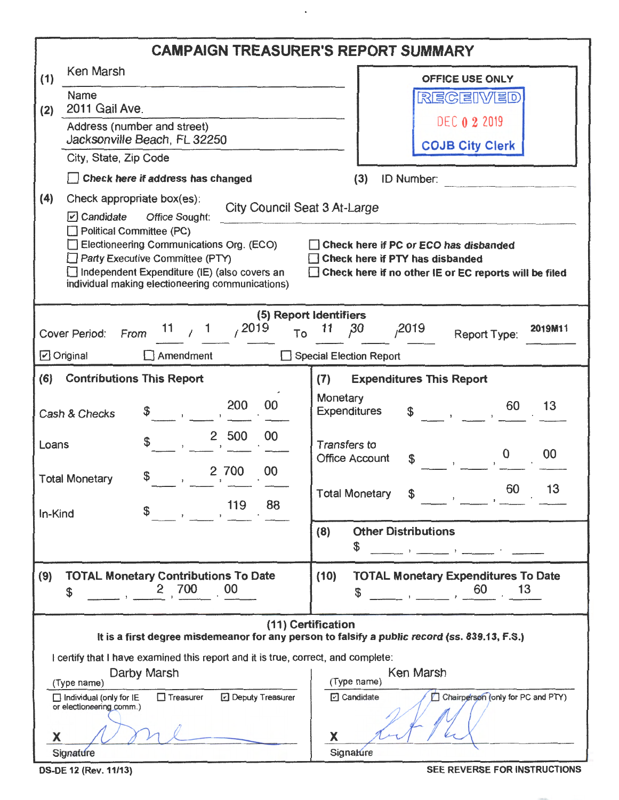|         |                                                                                                                                                                                                                                                                                                                                                                                             |                                                            |                    |       | <b>CAMPAIGN TREASURER'S REPORT SUMMARY</b>                                                     |                    |                                              |                            |                                                                                                                                                                                                                                            |         |  |  |
|---------|---------------------------------------------------------------------------------------------------------------------------------------------------------------------------------------------------------------------------------------------------------------------------------------------------------------------------------------------------------------------------------------------|------------------------------------------------------------|--------------------|-------|------------------------------------------------------------------------------------------------|--------------------|----------------------------------------------|----------------------------|--------------------------------------------------------------------------------------------------------------------------------------------------------------------------------------------------------------------------------------------|---------|--|--|
| (1)     | Ken Marsh                                                                                                                                                                                                                                                                                                                                                                                   |                                                            |                    |       |                                                                                                |                    | OFFICE USE ONLY                              |                            |                                                                                                                                                                                                                                            |         |  |  |
| (2)     | Name<br>2011 Gail Ave.                                                                                                                                                                                                                                                                                                                                                                      |                                                            |                    |       |                                                                                                | REGEIWED           |                                              |                            |                                                                                                                                                                                                                                            |         |  |  |
|         | Address (number and street)<br>Jacksonville Beach, FL 32250                                                                                                                                                                                                                                                                                                                                 |                                                            |                    |       |                                                                                                |                    |                                              |                            | <b>DEC 0 2 2019</b>                                                                                                                                                                                                                        |         |  |  |
|         | City, State, Zip Code                                                                                                                                                                                                                                                                                                                                                                       |                                                            |                    |       |                                                                                                |                    |                                              | <b>COJB City Clerk</b>     |                                                                                                                                                                                                                                            |         |  |  |
|         | Check here if address has changed                                                                                                                                                                                                                                                                                                                                                           |                                                            |                    |       |                                                                                                |                    | (3)                                          | ID Number:                 |                                                                                                                                                                                                                                            |         |  |  |
| (4)     |                                                                                                                                                                                                                                                                                                                                                                                             | Check appropriate box(es):<br>City Council Seat 3 At-Large |                    |       |                                                                                                |                    |                                              |                            |                                                                                                                                                                                                                                            |         |  |  |
|         | $\boxed{v}$ Candidate<br>Office Sought:<br>Political Committee (PC)<br>Electioneering Communications Org. (ECO)<br>Check here if PC or ECO has disbanded<br>Party Executive Committee (PTY)<br>Check here if PTY has disbanded<br>Independent Expenditure (IE) (also covers an<br>Check here if no other IE or EC reports will be filed<br>individual making electioneering communications) |                                                            |                    |       |                                                                                                |                    |                                              |                            |                                                                                                                                                                                                                                            |         |  |  |
|         |                                                                                                                                                                                                                                                                                                                                                                                             |                                                            |                    |       | (5) Report Identifiers                                                                         |                    |                                              |                            |                                                                                                                                                                                                                                            |         |  |  |
|         | <b>Cover Period:</b>                                                                                                                                                                                                                                                                                                                                                                        | From                                                       | 11 $\frac{1}{1}$ 1 | /2019 | To                                                                                             | 11                 | 30                                           | ,2019                      | Report Type:                                                                                                                                                                                                                               | 2019M11 |  |  |
|         | $\Box$ Original                                                                                                                                                                                                                                                                                                                                                                             |                                                            | $\Box$ Amendment   |       |                                                                                                |                    | Special Election Report                      |                            |                                                                                                                                                                                                                                            |         |  |  |
| (6)     | <b>Contributions This Report</b>                                                                                                                                                                                                                                                                                                                                                            |                                                            |                    |       |                                                                                                | (7)                |                                              |                            | <b>Expenditures This Report</b>                                                                                                                                                                                                            |         |  |  |
|         | Cash & Checks                                                                                                                                                                                                                                                                                                                                                                               |                                                            |                    | 200   | 00                                                                                             | Monetary           | <b>Expenditures</b>                          | \$                         | 60                                                                                                                                                                                                                                         | 13      |  |  |
| Loans   |                                                                                                                                                                                                                                                                                                                                                                                             |                                                            |                    | 2 500 | 00                                                                                             |                    | <b>Transfers to</b><br><b>Office Account</b> |                            | $\boldsymbol{0}$                                                                                                                                                                                                                           | 00      |  |  |
|         | <b>Total Monetary</b>                                                                                                                                                                                                                                                                                                                                                                       | \$                                                         |                    | 2 700 | 00<br>88                                                                                       |                    | <b>Total Monetary</b>                        |                            | 60<br><u>and the state of the state of the state of the state of the state of the state of the state of the state of the state of the state of the state of the state of the state of the state of the state of the state of the state</u> | 13      |  |  |
| In-Kind |                                                                                                                                                                                                                                                                                                                                                                                             |                                                            |                    | 119   |                                                                                                |                    |                                              |                            |                                                                                                                                                                                                                                            |         |  |  |
|         |                                                                                                                                                                                                                                                                                                                                                                                             |                                                            |                    |       |                                                                                                | (8)                | \$                                           | <b>Other Distributions</b> | $\bullet$ . The contract of the contract of the contract of the contract of the contract of the contract of the contract of the contract of the contract of the contract of the contract of the contract of the contract of the co         |         |  |  |
| (9)     | <b>TOTAL Monetary Contributions To Date</b><br>\$                                                                                                                                                                                                                                                                                                                                           | $\overline{2}$                                             | 700                | 00    |                                                                                                | (10)               | \$                                           |                            | <b>TOTAL Monetary Expenditures To Date</b><br>60                                                                                                                                                                                           | 13      |  |  |
|         | I certify that I have examined this report and it is true, correct, and complete:                                                                                                                                                                                                                                                                                                           |                                                            |                    |       |                                                                                                | (11) Certification |                                              |                            | It is a first degree misdemeanor for any person to falsify a public record (ss. 839.13, F.S.)                                                                                                                                              |         |  |  |
|         | Darby Marsh<br>(Type name)<br>$\Box$ Treasurer<br>D Deputy Treasurer<br>$\Box$ Individual (only for IE<br>or electioneering comm.)<br>x<br>Signature                                                                                                                                                                                                                                        |                                                            |                    |       | Ken Marsh<br>$(Type_name)$<br>Chairperson (only for PC and PTY)<br>Cardidate<br>X<br>Signature |                    |                                              |                            |                                                                                                                                                                                                                                            |         |  |  |

 $\ddot{\phantom{0}}$ 

OS-DE 12 (Rev. 11/13) SEE REVERSE FOR INSTRUCTIONS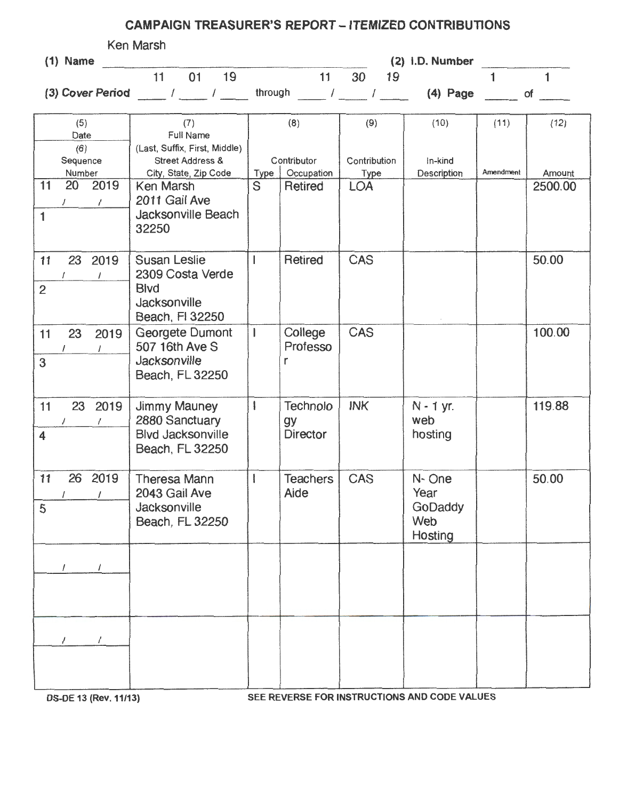## CAMPAIGN TREASURER'S REPORT - ITEMIZED CONTRIBUTIONS

| Ken Marsh<br>(2) i.D. Number          |                                                                |                         |                       |                                                       |                           |           |                         |
|---------------------------------------|----------------------------------------------------------------|-------------------------|-----------------------|-------------------------------------------------------|---------------------------|-----------|-------------------------|
| $(1)$ Name                            | 11<br>01 19                                                    |                         | 11                    | 30<br>19                                              |                           | 1         | $\mathbf{1}$            |
|                                       | (3) Cover Period $\frac{1}{2}$ / $\frac{1}{2}$ / $\frac{1}{2}$ |                         |                       | through $\frac{1}{2}$ / $\frac{1}{2}$ / $\frac{1}{2}$ | $(4)$ Page                |           | $of$ and $\overline{a}$ |
|                                       |                                                                |                         |                       |                                                       |                           |           |                         |
| (5)<br>Date                           | (7)<br><b>Full Name</b>                                        |                         | (8)                   | (9)                                                   | (10)                      | (11)      | (12)                    |
| (6)<br>Sequence                       | (Last, Suffix, First, Middle)<br><b>Street Address &amp;</b>   | Contributor             |                       | Contribution<br>In-kind<br>Description                |                           | Amendment |                         |
| Number<br>20 2019<br>11<br>$\sqrt{2}$ | City, State, Zip Code<br>Ken Marsh<br>2011 Gail Ave            | Type<br>S               | Occupation<br>Retired | Type<br><b>LOA</b>                                    |                           |           | Amount<br>2500.00       |
| $\mathbf{1}$                          | Jacksonville Beach<br>32250                                    |                         |                       |                                                       |                           |           |                         |
| 23 2019<br>11                         | <b>Susan Leslie</b><br>2309 Costa Verde                        | $\overline{1}$          | Retired               | <b>CAS</b>                                            |                           |           | 50.00                   |
| $\overline{2}$                        | <b>Blvd</b><br>Jacksonville<br>Beach, FI 32250                 |                         |                       |                                                       |                           |           |                         |
| 23<br>2019<br>11<br>$\prime$          | Georgete Dumont<br>507 16th Ave S                              | $\mathbf{I}$            | College<br>Professo   | <b>CAS</b>                                            |                           |           | 100.00                  |
| 3                                     | Jacksonville<br>Beach, FL 32250                                |                         | r                     |                                                       |                           |           |                         |
| 11<br>23 2019<br>$\prime$<br>7        | Jimmy Mauney<br>2880 Sanctuary                                 | $\overline{\mathbf{I}}$ | Technolo<br>gy        | <b>INK</b>                                            | N - 1 yr.<br>web          |           | 119.88                  |
| 4                                     | <b>Blvd Jacksonville</b><br>Beach, FL 32250                    |                         | <b>Director</b>       |                                                       | hosting                   |           |                         |
| 11<br>2019<br>26                      | <b>Theresa Mann</b><br>2043 Gail Ave                           |                         | Teachers<br>Aide      | CAS                                                   | N-One<br>Year             |           | 50.00                   |
| 5                                     | Jacksonville<br>Beach, FL 32250                                |                         |                       |                                                       | GoDaddy<br>Web<br>Hosting |           |                         |
| $\prime$                              |                                                                |                         |                       |                                                       |                           |           |                         |
|                                       |                                                                |                         |                       |                                                       |                           |           |                         |
|                                       |                                                                |                         |                       |                                                       |                           |           |                         |
| $\prime$                              |                                                                |                         |                       |                                                       |                           |           |                         |
|                                       |                                                                |                         |                       |                                                       |                           |           |                         |

DS-DE 13 (Rev. 11/13) SEE REVERSE FOR INSTRUCTIONS AND CODE VALUES